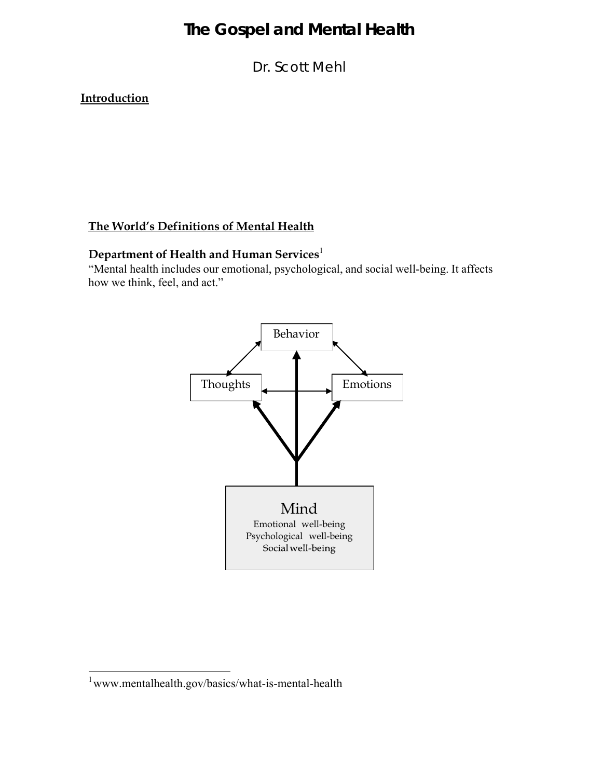Dr. Scott Mehl

**Introduction**

### **The World's Definitions of Mental Health**

## **Department of Health and Human Services**<sup>1</sup>

"Mental health includes our emotional, psychological, and social well-being. It affects how we think, feel, and act."



<sup>1</sup> www.mentalhealth.gov/basics/what-is-mental-health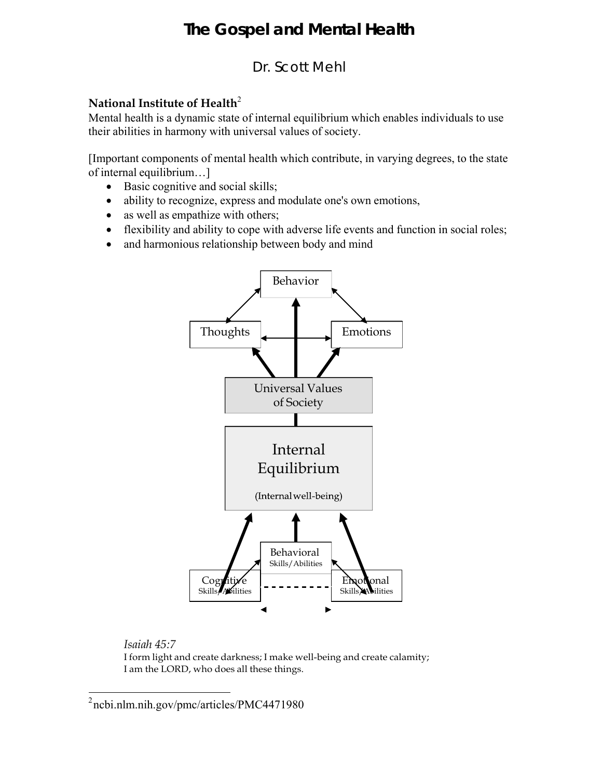## Dr. Scott Mehl

### **National Institute of Health<sup>2</sup>**

Mental health is a dynamic state of internal equilibrium which enables individuals to use their abilities in harmony with universal values of society.

[Important components of mental health which contribute, in varying degrees, to the state of internal equilibrium…]

- Basic cognitive and social skills;
- ability to recognize, express and modulate one's own emotions,
- as well as empathize with others;
- flexibility and ability to cope with adverse life events and function in social roles;
- and harmonious relationship between body and mind



### *Isaiah 45:7*

I form light and create darkness; I make well-being and create calamity; I am the LORD, who does all these things.

 $2$ ncbi.nlm.nih.gov/pmc/articles/PMC4471980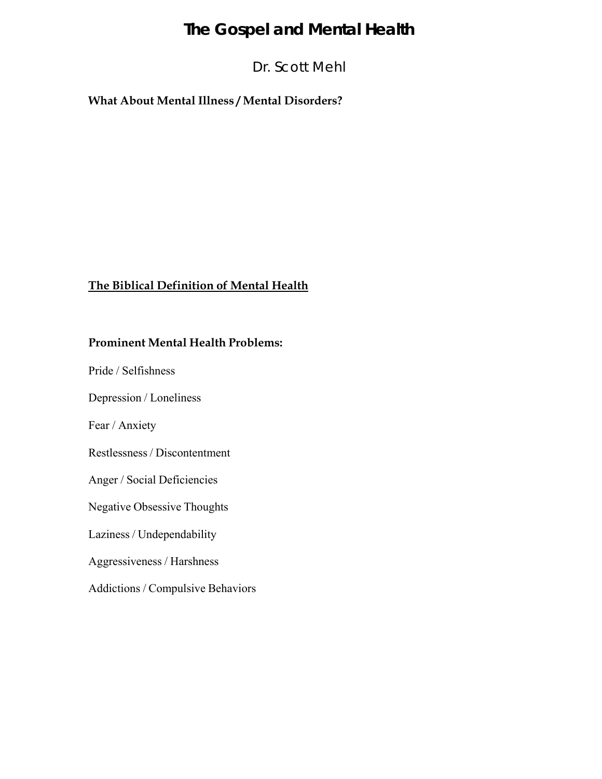## Dr. Scott Mehl

### **What About Mental Illness / Mental Disorders?**

### **The Biblical Definition of Mental Health**

### **Prominent Mental Health Problems:**

Pride / Selfishness

Depression / Loneliness

Fear / Anxiety

Restlessness / Discontentment

Anger / Social Deficiencies

Negative Obsessive Thoughts

Laziness / Undependability

Aggressiveness / Harshness

Addictions / Compulsive Behaviors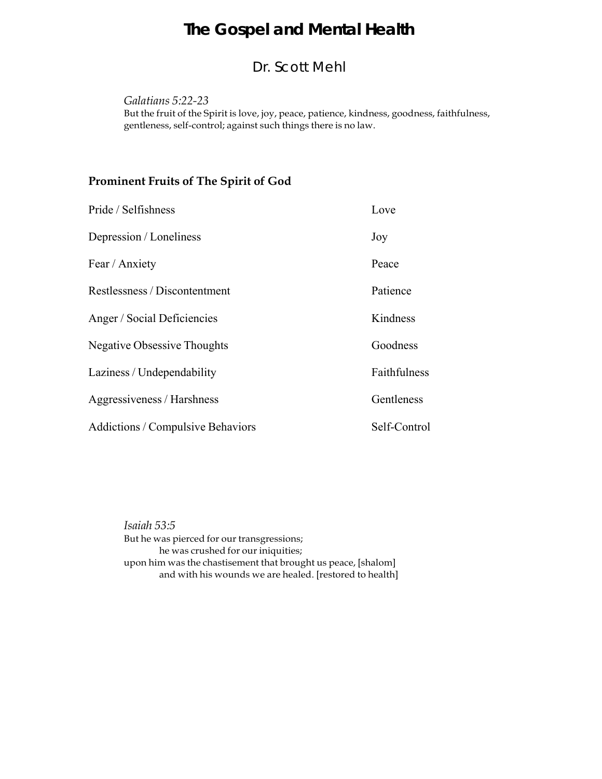## Dr. Scott Mehl

*Galatians 5:22-23*

But the fruit of the Spirit is love, joy, peace, patience, kindness, goodness, faithfulness, gentleness, self-control; against such things there is no law.

### **Prominent Fruits of The Spirit of God**

| Pride / Selfishness                      | Love         |
|------------------------------------------|--------------|
| Depression / Loneliness                  | Joy          |
| Fear / Anxiety                           | Peace        |
| Restlessness / Discontentment            | Patience     |
| Anger / Social Deficiencies              | Kindness     |
| <b>Negative Obsessive Thoughts</b>       | Goodness     |
| Laziness / Undependability               | Faithfulness |
| Aggressiveness / Harshness               | Gentleness   |
| <b>Addictions / Compulsive Behaviors</b> | Self-Control |

*Isaiah 53:5* But he was pierced for our transgressions; he was crushed for our iniquities; upon him was the chastisement that brought us peace, [shalom] and with his wounds we are healed. [restored to health]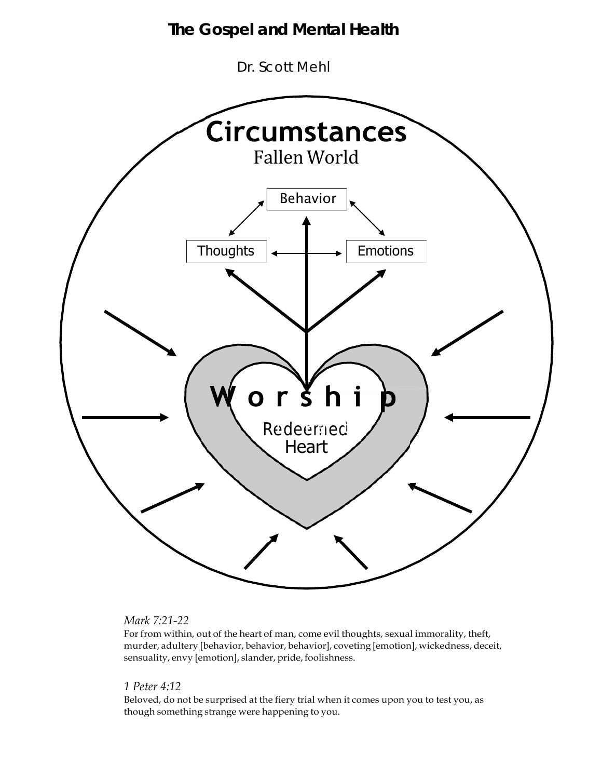Dr. Scott Mehl



#### *Mark 7:21-22*

For from within, out of the heart of man, come evil thoughts, sexual immorality, theft, murder, adultery [behavior, behavior, behavior], coveting [emotion], wickedness, deceit, sensuality, envy [emotion], slander, pride, foolishness.

#### *1 Peter 4:12*

Beloved, do not be surprised at the fiery trial when it comes upon you to test you, as though something strange were happening to you.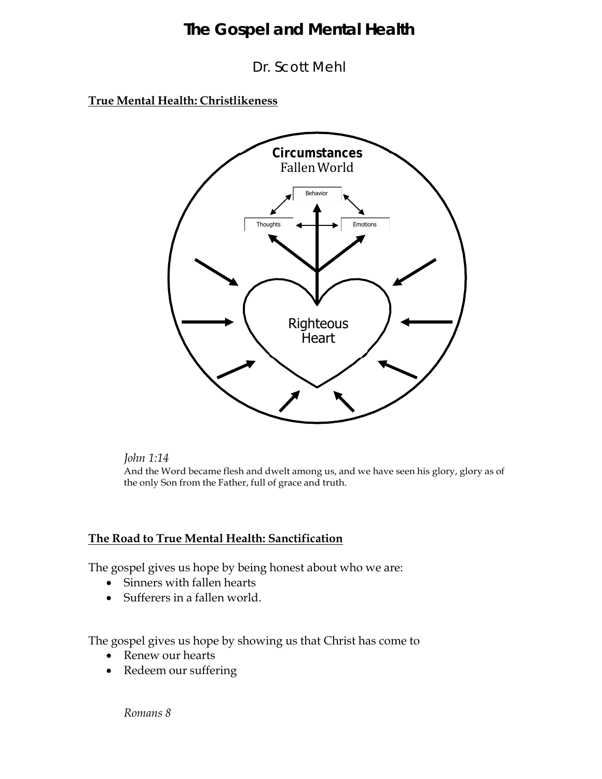Dr. Scott Mehl

**True Mental Health: Christlikeness**



#### *John 1:14*

And the Word became flesh and dwelt among us, and we have seen his glory, glory as of the only Son from the Father, full of grace and truth.

### **The Road to True Mental Health: Sanctification**

The gospel gives us hope by being honest about who we are:

- Sinners with fallen hearts
- Sufferers in a fallen world.

The gospel gives us hope by showing us that Christ has come to

- Renew our hearts
- Redeem our suffering

*Romans 8*